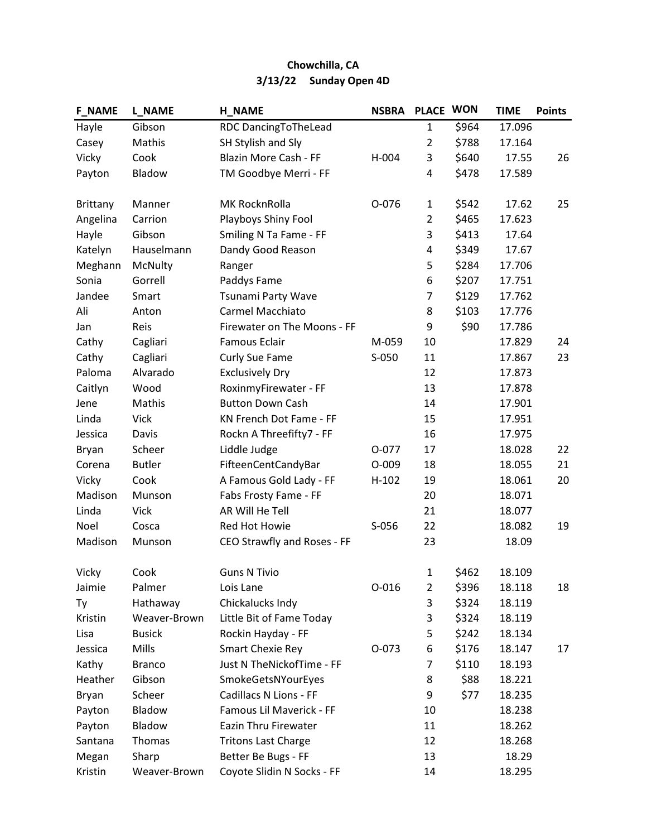| <b>F NAME</b>   | <b>L_NAME</b> | <b>H_NAME</b>               | <b>NSBRA</b> | <b>PLACE</b>   | <b>WON</b> | <b>TIME</b> | <b>Points</b> |
|-----------------|---------------|-----------------------------|--------------|----------------|------------|-------------|---------------|
| Hayle           | Gibson        | RDC DancingToTheLead        |              | 1              | \$964      | 17.096      |               |
| Casey           | Mathis        | SH Stylish and Sly          |              | $\overline{2}$ | \$788      | 17.164      |               |
| Vicky           | Cook          | Blazin More Cash - FF       | H-004        | 3              | \$640      | 17.55       | 26            |
| Payton          | Bladow        | TM Goodbye Merri - FF       |              | 4              | \$478      | 17.589      |               |
|                 |               |                             |              |                |            |             |               |
| <b>Brittany</b> | Manner        | MK RocknRolla               | 0-076        | $\mathbf{1}$   | \$542      | 17.62       | 25            |
| Angelina        | Carrion       | Playboys Shiny Fool         |              | $\overline{2}$ | \$465      | 17.623      |               |
| Hayle           | Gibson        | Smiling N Ta Fame - FF      |              | 3              | \$413      | 17.64       |               |
| Katelyn         | Hauselmann    | Dandy Good Reason           |              | 4              | \$349      | 17.67       |               |
| Meghann         | McNulty       | Ranger                      |              | 5              | \$284      | 17.706      |               |
| Sonia           | Gorrell       | Paddys Fame                 |              | 6              | \$207      | 17.751      |               |
| Jandee          | Smart         | Tsunami Party Wave          |              | 7              | \$129      | 17.762      |               |
| Ali             | Anton         | Carmel Macchiato            |              | 8              | \$103      | 17.776      |               |
| Jan             | Reis          | Firewater on The Moons - FF |              | 9              | \$90       | 17.786      |               |
| Cathy           | Cagliari      | Famous Eclair               | M-059        | 10             |            | 17.829      | 24            |
| Cathy           | Cagliari      | Curly Sue Fame              | S-050        | 11             |            | 17.867      | 23            |
| Paloma          | Alvarado      | <b>Exclusively Dry</b>      |              | 12             |            | 17.873      |               |
| Caitlyn         | Wood          | RoxinmyFirewater - FF       |              | 13             |            | 17.878      |               |
| Jene            | Mathis        | <b>Button Down Cash</b>     |              | 14             |            | 17.901      |               |
| Linda           | Vick          | KN French Dot Fame - FF     |              | 15             |            | 17.951      |               |
| Jessica         | Davis         | Rockn A Threefifty7 - FF    |              | 16             |            | 17.975      |               |
| <b>Bryan</b>    | Scheer        | Liddle Judge                | $0 - 077$    | 17             |            | 18.028      | 22            |
| Corena          | <b>Butler</b> | FifteenCentCandyBar         | $O-009$      | 18             |            | 18.055      | 21            |
| Vicky           | Cook          | A Famous Gold Lady - FF     | $H-102$      | 19             |            | 18.061      | 20            |
| Madison         | Munson        | Fabs Frosty Fame - FF       |              | 20             |            | 18.071      |               |
| Linda           | <b>Vick</b>   | AR Will He Tell             |              | 21             |            | 18.077      |               |
| Noel            | Cosca         | Red Hot Howie               | S-056        | 22             |            | 18.082      | 19            |
| Madison         | Munson        | CEO Strawfly and Roses - FF |              | 23             |            | 18.09       |               |
|                 |               |                             |              |                |            |             |               |
| Vicky           | Cook          | <b>Guns N Tivio</b>         |              | $\mathbf{1}$   | \$462      | 18.109      |               |
| Jaimie          | Palmer        | Lois Lane                   | $O - 016$    | $\overline{2}$ | \$396      | 18.118      | 18            |
| Ty              | Hathaway      | Chickalucks Indy            |              | 3              | \$324      | 18.119      |               |
| Kristin         | Weaver-Brown  | Little Bit of Fame Today    |              | 3              | \$324      | 18.119      |               |
| Lisa            | <b>Busick</b> | Rockin Hayday - FF          |              | 5              | \$242      | 18.134      |               |
| Jessica         | Mills         | <b>Smart Chexie Rey</b>     | $O-073$      | 6              | \$176      | 18.147      | 17            |
| Kathy           | <b>Branco</b> | Just N TheNickofTime - FF   |              | 7              | \$110      | 18.193      |               |
| Heather         | Gibson        | SmokeGetsNYourEyes          |              | 8              | \$88       | 18.221      |               |
| <b>Bryan</b>    | Scheer        | Cadillacs N Lions - FF      |              | 9              | \$77       | 18.235      |               |
| Payton          | Bladow        | Famous Lil Maverick - FF    |              | 10             |            | 18.238      |               |
| Payton          | Bladow        | Eazin Thru Firewater        |              | 11             |            | 18.262      |               |
| Santana         | Thomas        | <b>Tritons Last Charge</b>  |              | 12             |            | 18.268      |               |
| Megan           | Sharp         | Better Be Bugs - FF         |              | 13             |            | 18.29       |               |
| Kristin         | Weaver-Brown  | Coyote Slidin N Socks - FF  |              | 14             |            | 18.295      |               |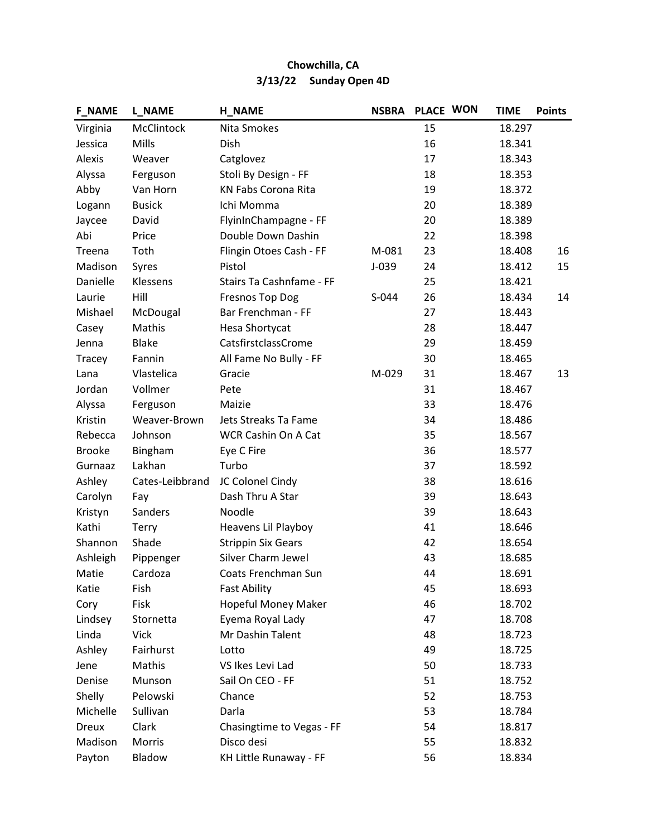| <b>F_NAME</b> | <b>L NAME</b>   | <b>H_NAME</b>              | <b>NSBRA</b> | PLACE WON | <b>TIME</b> | <b>Points</b> |
|---------------|-----------------|----------------------------|--------------|-----------|-------------|---------------|
| Virginia      | McClintock      | Nita Smokes                |              | 15        | 18.297      |               |
| Jessica       | Mills           | Dish                       |              | 16        | 18.341      |               |
| Alexis        | Weaver          | Catglovez                  |              | 17        | 18.343      |               |
| Alyssa        | Ferguson        | Stoli By Design - FF       |              | 18        | 18.353      |               |
| Abby          | Van Horn        | <b>KN Fabs Corona Rita</b> |              | 19        | 18.372      |               |
| Logann        | <b>Busick</b>   | Ichi Momma                 |              | 20        | 18.389      |               |
| Jaycee        | David           | FlyinInChampagne - FF      |              | 20        | 18.389      |               |
| Abi           | Price           | Double Down Dashin         |              | 22        | 18.398      |               |
| Treena        | Toth            | Flingin Otoes Cash - FF    | M-081        | 23        | 18.408      | 16            |
| Madison       | Syres           | Pistol                     | $J-039$      | 24        | 18.412      | 15            |
| Danielle      | Klessens        | Stairs Ta Cashnfame - FF   |              | 25        | 18.421      |               |
| Laurie        | Hill            | <b>Fresnos Top Dog</b>     | S-044        | 26        | 18.434      | 14            |
| Mishael       | McDougal        | Bar Frenchman - FF         |              | 27        | 18.443      |               |
| Casey         | Mathis          | Hesa Shortycat             |              | 28        | 18.447      |               |
| Jenna         | <b>Blake</b>    | CatsfirstclassCrome        |              | 29        | 18.459      |               |
| Tracey        | Fannin          | All Fame No Bully - FF     |              | 30        | 18.465      |               |
| Lana          | Vlastelica      | Gracie                     | M-029        | 31        | 18.467      | 13            |
| Jordan        | Vollmer         | Pete                       |              | 31        | 18.467      |               |
| Alyssa        | Ferguson        | Maizie                     |              | 33        | 18.476      |               |
| Kristin       | Weaver-Brown    | Jets Streaks Ta Fame       |              | 34        | 18.486      |               |
| Rebecca       | Johnson         | WCR Cashin On A Cat        |              | 35        | 18.567      |               |
| <b>Brooke</b> | Bingham         | Eye C Fire                 |              | 36        | 18.577      |               |
| Gurnaaz       | Lakhan          | Turbo                      |              | 37        | 18.592      |               |
| Ashley        | Cates-Leibbrand | JC Colonel Cindy           |              | 38        | 18.616      |               |
| Carolyn       | Fay             | Dash Thru A Star           |              | 39        | 18.643      |               |
| Kristyn       | Sanders         | Noodle                     |              | 39        | 18.643      |               |
| Kathi         | Terry           | Heavens Lil Playboy        |              | 41        | 18.646      |               |
| Shannon       | Shade           | <b>Strippin Six Gears</b>  |              | 42        | 18.654      |               |
| Ashleigh      | Pippenger       | Silver Charm Jewel         |              | 43        | 18.685      |               |
| Matie         | Cardoza         | Coats Frenchman Sun        |              | 44        | 18.691      |               |
| Katie         | Fish            | <b>Fast Ability</b>        |              | 45        | 18.693      |               |
| Cory          | Fisk            | Hopeful Money Maker        |              | 46        | 18.702      |               |
| Lindsey       | Stornetta       | Eyema Royal Lady           |              | 47        | 18.708      |               |
| Linda         | Vick            | Mr Dashin Talent           |              | 48        | 18.723      |               |
| Ashley        | Fairhurst       | Lotto                      |              | 49        | 18.725      |               |
| Jene          | Mathis          | VS Ikes Levi Lad           |              | 50        | 18.733      |               |
| Denise        | Munson          | Sail On CEO - FF           |              | 51        | 18.752      |               |
| Shelly        | Pelowski        | Chance                     |              | 52        | 18.753      |               |
| Michelle      | Sullivan        | Darla                      |              | 53        | 18.784      |               |
| <b>Dreux</b>  | Clark           | Chasingtime to Vegas - FF  |              | 54        | 18.817      |               |
| Madison       | Morris          | Disco desi                 |              | 55        | 18.832      |               |
| Payton        | Bladow          | KH Little Runaway - FF     |              | 56        | 18.834      |               |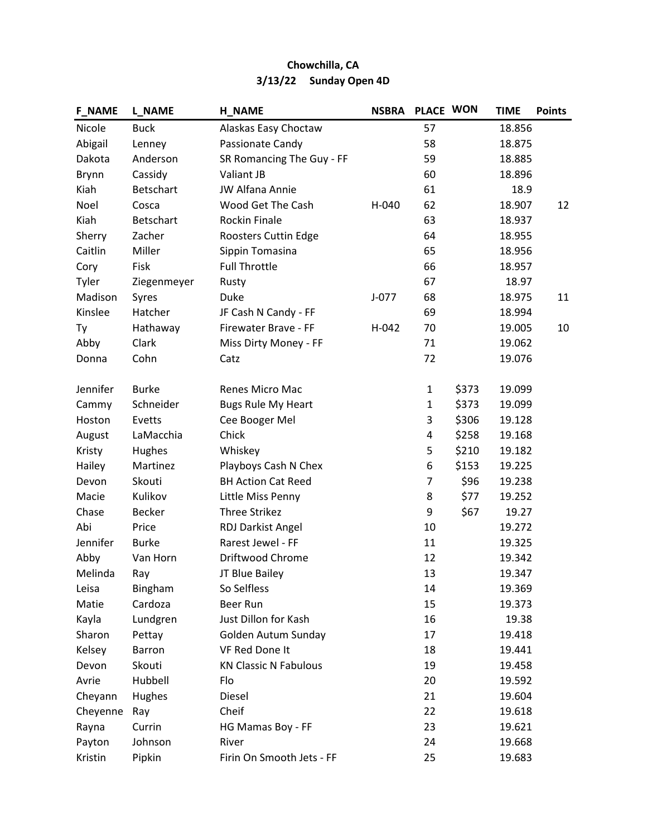| <b>F_NAME</b> | <b>L_NAME</b>    | <b>H_NAME</b>                | <b>NSBRA</b> | PLACE WON    |       | <b>TIME</b> | <b>Points</b> |
|---------------|------------------|------------------------------|--------------|--------------|-------|-------------|---------------|
| Nicole        | <b>Buck</b>      | Alaskas Easy Choctaw         |              | 57           |       | 18.856      |               |
| Abigail       | Lenney           | Passionate Candy             |              | 58           |       | 18.875      |               |
| Dakota        | Anderson         | SR Romancing The Guy - FF    |              | 59           |       | 18.885      |               |
| <b>Brynn</b>  | Cassidy          | Valiant JB                   |              | 60           |       | 18.896      |               |
| Kiah          | <b>Betschart</b> | <b>JW Alfana Annie</b>       |              | 61           |       | 18.9        |               |
| Noel          | Cosca            | Wood Get The Cash            | H-040        | 62           |       | 18.907      | 12            |
| Kiah          | <b>Betschart</b> | <b>Rockin Finale</b>         |              | 63           |       | 18.937      |               |
| Sherry        | Zacher           | Roosters Cuttin Edge         |              | 64           |       | 18.955      |               |
| Caitlin       | Miller           | Sippin Tomasina              |              | 65           |       | 18.956      |               |
| Cory          | Fisk             | <b>Full Throttle</b>         |              | 66           |       | 18.957      |               |
| Tyler         | Ziegenmeyer      | Rusty                        |              | 67           |       | 18.97       |               |
| Madison       | Syres            | Duke                         | $J-077$      | 68           |       | 18.975      | 11            |
| Kinslee       | Hatcher          | JF Cash N Candy - FF         |              | 69           |       | 18.994      |               |
| Ty            | Hathaway         | Firewater Brave - FF         | H-042        | 70           |       | 19.005      | 10            |
| Abby          | Clark            | Miss Dirty Money - FF        |              | 71           |       | 19.062      |               |
| Donna         | Cohn             | Catz                         |              | 72           |       | 19.076      |               |
|               |                  |                              |              |              |       |             |               |
| Jennifer      | <b>Burke</b>     | Renes Micro Mac              |              | $\mathbf{1}$ | \$373 | 19.099      |               |
| Cammy         | Schneider        | <b>Bugs Rule My Heart</b>    |              | $\mathbf{1}$ | \$373 | 19.099      |               |
| Hoston        | Evetts           | Cee Booger Mel               |              | 3            | \$306 | 19.128      |               |
| August        | LaMacchia        | Chick                        |              | 4            | \$258 | 19.168      |               |
| Kristy        | Hughes           | Whiskey                      |              | 5            | \$210 | 19.182      |               |
| Hailey        | Martinez         | Playboys Cash N Chex         |              | 6            | \$153 | 19.225      |               |
| Devon         | Skouti           | <b>BH Action Cat Reed</b>    |              | 7            | \$96  | 19.238      |               |
| Macie         | Kulikov          | Little Miss Penny            |              | 8            | \$77  | 19.252      |               |
| Chase         | <b>Becker</b>    | <b>Three Strikez</b>         |              | 9            | \$67  | 19.27       |               |
| Abi           | Price            | <b>RDJ Darkist Angel</b>     |              | 10           |       | 19.272      |               |
| Jennifer      | <b>Burke</b>     | Rarest Jewel - FF            |              | 11           |       | 19.325      |               |
| Abby          | Van Horn         | Driftwood Chrome             |              | 12           |       | 19.342      |               |
| Melinda       | Ray              | JT Blue Bailey               |              | 13           |       | 19.347      |               |
| Leisa         | Bingham          | So Selfless                  |              | 14           |       | 19.369      |               |
| Matie         | Cardoza          | Beer Run                     |              | 15           |       | 19.373      |               |
| Kayla         | Lundgren         | Just Dillon for Kash         |              | 16           |       | 19.38       |               |
| Sharon        | Pettay           | Golden Autum Sunday          |              | 17           |       | 19.418      |               |
| Kelsey        | Barron           | VF Red Done It               |              | 18           |       | 19.441      |               |
| Devon         | Skouti           | <b>KN Classic N Fabulous</b> |              | 19           |       | 19.458      |               |
| Avrie         | Hubbell          | Flo                          |              | 20           |       | 19.592      |               |
| Cheyann       | Hughes           | Diesel                       |              | 21           |       | 19.604      |               |
| Cheyenne      | Ray              | Cheif                        |              | 22           |       | 19.618      |               |
| Rayna         | Currin           | HG Mamas Boy - FF            |              | 23           |       | 19.621      |               |
| Payton        | Johnson          | River                        |              | 24           |       | 19.668      |               |
| Kristin       | Pipkin           | Firin On Smooth Jets - FF    |              | 25           |       | 19.683      |               |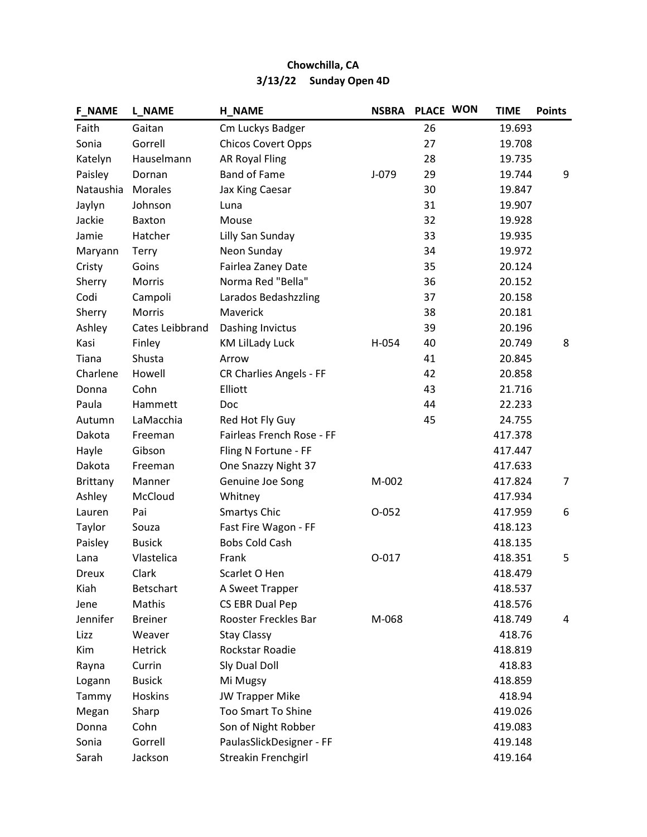| <b>F_NAME</b>   | <b>L_NAME</b>    | <b>H_NAME</b>                  | <b>NSBRA</b> | PLACE WON | <b>TIME</b> | <b>Points</b>  |
|-----------------|------------------|--------------------------------|--------------|-----------|-------------|----------------|
| Faith           | Gaitan           | Cm Luckys Badger               |              | 26        | 19.693      |                |
| Sonia           | Gorrell          | <b>Chicos Covert Opps</b>      |              | 27        | 19.708      |                |
| Katelyn         | Hauselmann       | <b>AR Royal Fling</b>          |              | 28        | 19.735      |                |
| Paisley         | Dornan           | <b>Band of Fame</b>            | $J-079$      | 29        | 19.744      | 9              |
| Nataushia       | <b>Morales</b>   | Jax King Caesar                |              | 30        | 19.847      |                |
| Jaylyn          | Johnson          | Luna                           |              | 31        | 19.907      |                |
| Jackie          | Baxton           | Mouse                          |              | 32        | 19.928      |                |
| Jamie           | Hatcher          | Lilly San Sunday               |              | 33        | 19.935      |                |
| Maryann         | <b>Terry</b>     | Neon Sunday                    |              | 34        | 19.972      |                |
| Cristy          | Goins            | Fairlea Zaney Date             |              | 35        | 20.124      |                |
| Sherry          | Morris           | Norma Red "Bella"              |              | 36        | 20.152      |                |
| Codi            | Campoli          | Larados Bedashzzling           |              | 37        | 20.158      |                |
| Sherry          | Morris           | Maverick                       |              | 38        | 20.181      |                |
| Ashley          | Cates Leibbrand  | Dashing Invictus               |              | 39        | 20.196      |                |
| Kasi            | Finley           | <b>KM Lillady Luck</b>         | H-054        | 40        | 20.749      | 8              |
| Tiana           | Shusta           | Arrow                          |              | 41        | 20.845      |                |
| Charlene        | Howell           | <b>CR Charlies Angels - FF</b> |              | 42        | 20.858      |                |
| Donna           | Cohn             | Elliott                        |              | 43        | 21.716      |                |
| Paula           | Hammett          | Doc                            |              | 44        | 22.233      |                |
| Autumn          | LaMacchia        | Red Hot Fly Guy                |              | 45        | 24.755      |                |
| Dakota          | Freeman          | Fairleas French Rose - FF      |              |           | 417.378     |                |
| Hayle           | Gibson           | Fling N Fortune - FF           |              |           | 417.447     |                |
| Dakota          | Freeman          | One Snazzy Night 37            |              |           | 417.633     |                |
| <b>Brittany</b> | Manner           | Genuine Joe Song               | M-002        |           | 417.824     | $\overline{7}$ |
| Ashley          | McCloud          | Whitney                        |              |           | 417.934     |                |
| Lauren          | Pai              | <b>Smartys Chic</b>            | $O-052$      |           | 417.959     | 6              |
| Taylor          | Souza            | Fast Fire Wagon - FF           |              |           | 418.123     |                |
| Paisley         | <b>Busick</b>    | <b>Bobs Cold Cash</b>          |              |           | 418.135     |                |
| Lana            | Vlastelica       | Frank                          | $O-017$      |           | 418.351     | 5              |
| Dreux           | Clark            | Scarlet O Hen                  |              |           | 418.479     |                |
| Kiah            | <b>Betschart</b> | A Sweet Trapper                |              |           | 418.537     |                |
| Jene            | Mathis           | CS EBR Dual Pep                |              |           | 418.576     |                |
| Jennifer        | <b>Breiner</b>   | Rooster Freckles Bar           | M-068        |           | 418.749     | 4              |
| Lizz            | Weaver           | <b>Stay Classy</b>             |              |           | 418.76      |                |
| Kim             | Hetrick          | Rockstar Roadie                |              |           | 418.819     |                |
| Rayna           | Currin           | Sly Dual Doll                  |              |           | 418.83      |                |
| Logann          | <b>Busick</b>    | Mi Mugsy                       |              |           | 418.859     |                |
| Tammy           | <b>Hoskins</b>   | <b>JW Trapper Mike</b>         |              |           | 418.94      |                |
| Megan           | Sharp            | <b>Too Smart To Shine</b>      |              |           | 419.026     |                |
| Donna           | Cohn             | Son of Night Robber            |              |           | 419.083     |                |
| Sonia           | Gorrell          | PaulasSlickDesigner - FF       |              |           | 419.148     |                |
| Sarah           | Jackson          | Streakin Frenchgirl            |              |           | 419.164     |                |